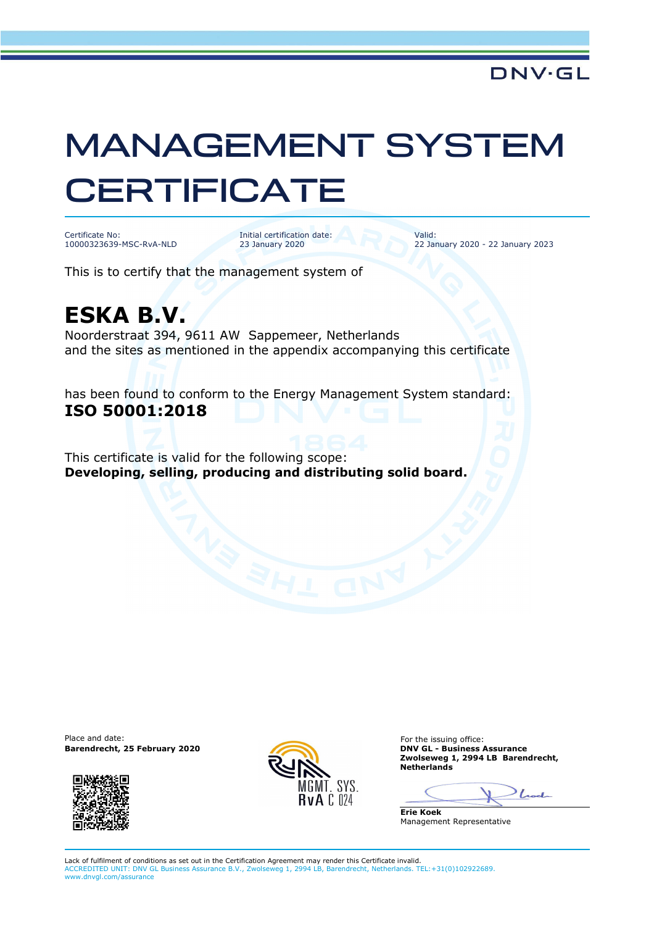## MANAGEMENT SYSTEM **CERTIFICATE**

Certificate No: 10000323639-MSC-RvA-NLD Initial certification date: 23 January 2020

Valid: 22 January 2020 - 22 January 2023

This is to certify that the management system of

## **ESKA B.V.**

Noorderstraat 394, 9611 AW Sappemeer, Netherlands and the sites as mentioned in the appendix accompanying this certificate

has been found to conform to the Energy Management System standard: **ISO 50001:2018**

This certificate is valid for the following scope: **Developing, selling, producing and distributing solid board.**

Place and date: **Barendrecht, 25 February 2020 DNV GL - Business Assurance**





For the issuing office: **Zwolseweg 1, 2994 LB Barendrecht, Netherlands** 

Look

**Erie Koek** Management Representative

Lack of fulfilment of conditions as set out in the Certification Agreement may render this Certificate invalid. ACCREDITED UNIT: DNV GL Business Assurance B.V., Zwolseweg 1, 2994 LB, Barendrecht, Netherlands. TEL:+31(0)102922689. www.dnvgl.com/assurance